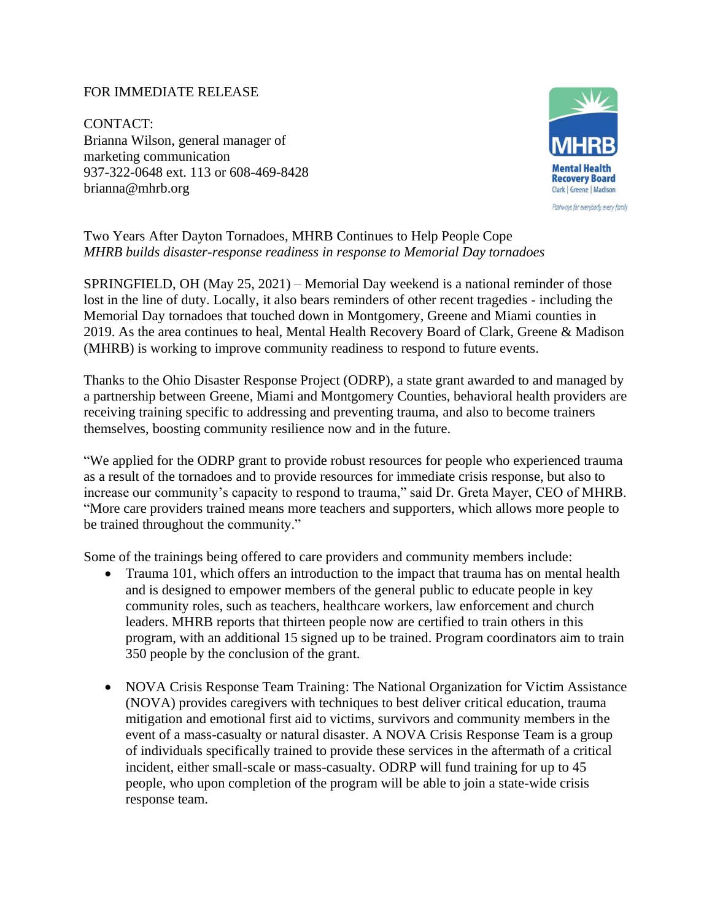## FOR IMMEDIATE RELEASE

CONTACT: Brianna Wilson, general manager of marketing communication 937-322-0648 ext. 113 or 608-469-8428 brianna@mhrb.org



Two Years After Dayton Tornadoes, MHRB Continues to Help People Cope *MHRB builds disaster-response readiness in response to Memorial Day tornadoes*

SPRINGFIELD, OH (May 25, 2021) – Memorial Day weekend is a national reminder of those lost in the line of duty. Locally, it also bears reminders of other recent tragedies - including the Memorial Day tornadoes that touched down in Montgomery, Greene and Miami counties in 2019. As the area continues to heal, Mental Health Recovery Board of Clark, Greene & Madison (MHRB) is working to improve community readiness to respond to future events.

Thanks to the Ohio Disaster Response Project (ODRP), a state grant awarded to and managed by a partnership between Greene, Miami and Montgomery Counties, behavioral health providers are receiving training specific to addressing and preventing trauma, and also to become trainers themselves, boosting community resilience now and in the future.

"We applied for the ODRP grant to provide robust resources for people who experienced trauma as a result of the tornadoes and to provide resources for immediate crisis response, but also to increase our community's capacity to respond to trauma," said Dr. Greta Mayer, CEO of MHRB. "More care providers trained means more teachers and supporters, which allows more people to be trained throughout the community."

Some of the trainings being offered to care providers and community members include:

- Trauma 101, which offers an introduction to the impact that trauma has on mental health and is designed to empower members of the general public to educate people in key community roles, such as teachers, healthcare workers, law enforcement and church leaders. MHRB reports that thirteen people now are certified to train others in this program, with an additional 15 signed up to be trained. Program coordinators aim to train 350 people by the conclusion of the grant.
- NOVA Crisis Response Team Training: The National Organization for Victim Assistance (NOVA) provides caregivers with techniques to best deliver critical education, trauma mitigation and emotional first aid to victims, survivors and community members in the event of a mass-casualty or natural disaster. A NOVA Crisis Response Team is a group of individuals specifically trained to provide these services in the aftermath of a critical incident, either small-scale or mass-casualty. ODRP will fund training for up to 45 people, who upon completion of the program will be able to join a state-wide crisis response team.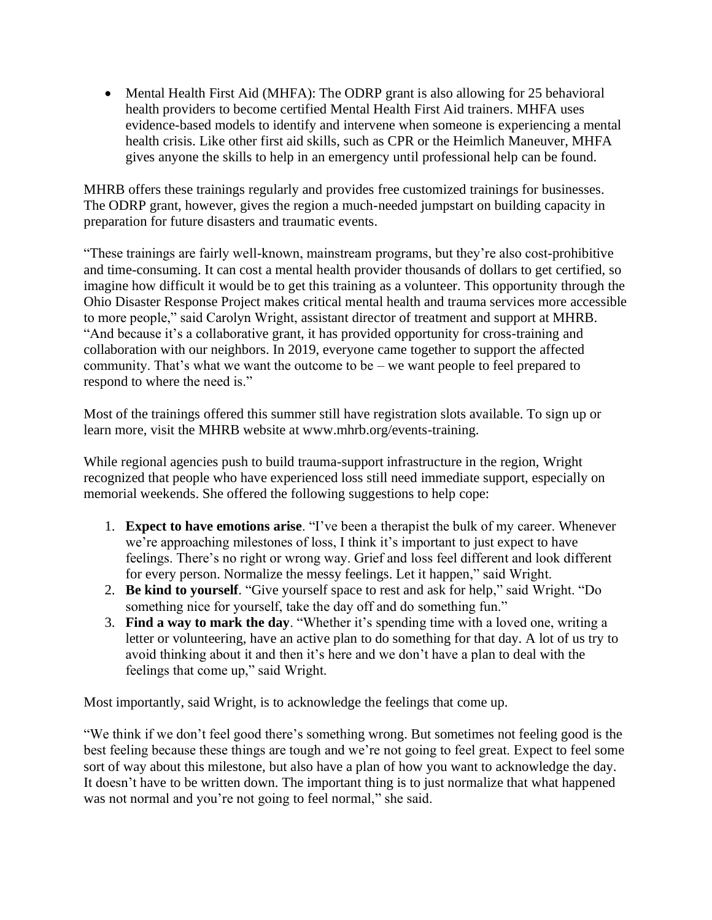• Mental Health First Aid (MHFA): The ODRP grant is also allowing for 25 behavioral health providers to become certified Mental Health First Aid trainers. MHFA uses evidence-based models to identify and intervene when someone is experiencing a mental health crisis. Like other first aid skills, such as CPR or the Heimlich Maneuver, MHFA gives anyone the skills to help in an emergency until professional help can be found.

MHRB offers these trainings regularly and provides free customized trainings for businesses. The ODRP grant, however, gives the region a much-needed jumpstart on building capacity in preparation for future disasters and traumatic events.

"These trainings are fairly well-known, mainstream programs, but they're also cost-prohibitive and time-consuming. It can cost a mental health provider thousands of dollars to get certified, so imagine how difficult it would be to get this training as a volunteer. This opportunity through the Ohio Disaster Response Project makes critical mental health and trauma services more accessible to more people," said Carolyn Wright, assistant director of treatment and support at MHRB. "And because it's a collaborative grant, it has provided opportunity for cross-training and collaboration with our neighbors. In 2019, everyone came together to support the affected community. That's what we want the outcome to be – we want people to feel prepared to respond to where the need is."

Most of the trainings offered this summer still have registration slots available. To sign up or learn more, visit the MHRB website at www.mhrb.org/events-training.

While regional agencies push to build trauma-support infrastructure in the region, Wright recognized that people who have experienced loss still need immediate support, especially on memorial weekends. She offered the following suggestions to help cope:

- 1. **Expect to have emotions arise**. "I've been a therapist the bulk of my career. Whenever we're approaching milestones of loss, I think it's important to just expect to have feelings. There's no right or wrong way. Grief and loss feel different and look different for every person. Normalize the messy feelings. Let it happen," said Wright.
- 2. **Be kind to yourself**. "Give yourself space to rest and ask for help," said Wright. "Do something nice for yourself, take the day off and do something fun."
- 3. **Find a way to mark the day**. "Whether it's spending time with a loved one, writing a letter or volunteering, have an active plan to do something for that day. A lot of us try to avoid thinking about it and then it's here and we don't have a plan to deal with the feelings that come up," said Wright.

Most importantly, said Wright, is to acknowledge the feelings that come up.

"We think if we don't feel good there's something wrong. But sometimes not feeling good is the best feeling because these things are tough and we're not going to feel great. Expect to feel some sort of way about this milestone, but also have a plan of how you want to acknowledge the day. It doesn't have to be written down. The important thing is to just normalize that what happened was not normal and you're not going to feel normal," she said.